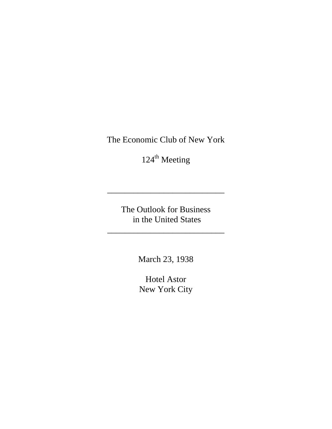The Economic Club of New York

 $124^{\text{th}}$  Meeting

The Outlook for Business in the United States

\_\_\_\_\_\_\_\_\_\_\_\_\_\_\_\_\_\_\_\_\_\_\_\_\_\_\_

\_\_\_\_\_\_\_\_\_\_\_\_\_\_\_\_\_\_\_\_\_\_\_\_\_\_\_

March 23, 1938

Hotel Astor New York City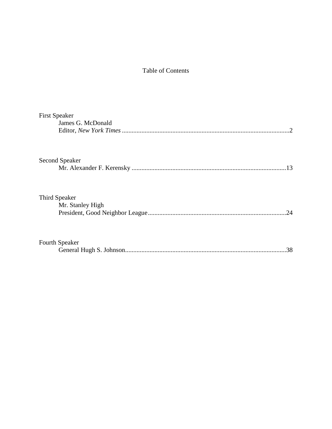## Table of Contents

| <b>First Speaker</b> |                   |
|----------------------|-------------------|
|                      | James G. McDonald |
|                      |                   |
|                      | Second Speaker    |
|                      | .13               |
|                      |                   |
|                      | Third Speaker     |
|                      | Mr. Stanley High  |
|                      | 24                |
| Fourth Speaker       |                   |
|                      | 38                |
|                      |                   |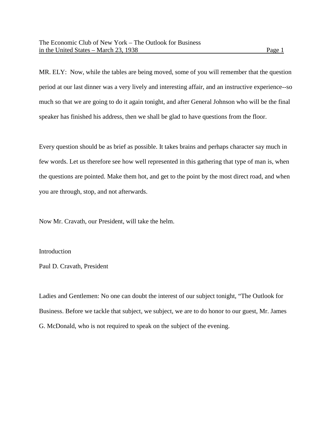MR. ELY: Now, while the tables are being moved, some of you will remember that the question period at our last dinner was a very lively and interesting affair, and an instructive experience--so much so that we are going to do it again tonight, and after General Johnson who will be the final speaker has finished his address, then we shall be glad to have questions from the floor.

Every question should be as brief as possible. It takes brains and perhaps character say much in few words. Let us therefore see how well represented in this gathering that type of man is, when the questions are pointed. Make them hot, and get to the point by the most direct road, and when you are through, stop, and not afterwards.

Now Mr. Cravath, our President, will take the helm.

Introduction

Paul D. Cravath, President

Ladies and Gentlemen: No one can doubt the interest of our subject tonight, "The Outlook for Business. Before we tackle that subject, we subject, we are to do honor to our guest, Mr. James G. McDonald, who is not required to speak on the subject of the evening.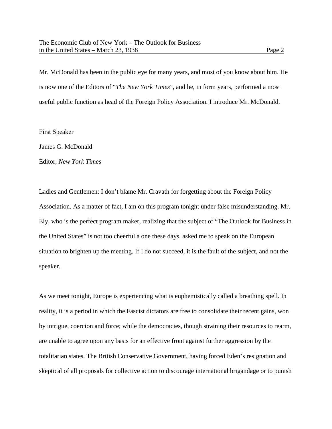Mr. McDonald has been in the public eye for many years, and most of you know about him. He is now one of the Editors of "*The New York Times*", and he, in form years, performed a most useful public function as head of the Foreign Policy Association. I introduce Mr. McDonald.

First Speaker

James G. McDonald

Editor, *New York Times*

Ladies and Gentlemen: I don't blame Mr. Cravath for forgetting about the Foreign Policy Association. As a matter of fact, I am on this program tonight under false misunderstanding. Mr. Ely, who is the perfect program maker, realizing that the subject of "The Outlook for Business in the United States" is not too cheerful a one these days, asked me to speak on the European situation to brighten up the meeting. If I do not succeed, it is the fault of the subject, and not the speaker.

As we meet tonight, Europe is experiencing what is euphemistically called a breathing spell. In reality, it is a period in which the Fascist dictators are free to consolidate their recent gains, won by intrigue, coercion and force; while the democracies, though straining their resources to rearm, are unable to agree upon any basis for an effective front against further aggression by the totalitarian states. The British Conservative Government, having forced Eden's resignation and skeptical of all proposals for collective action to discourage international brigandage or to punish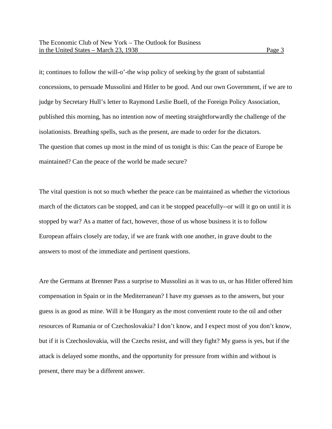it; continues to follow the will-o'-the wisp policy of seeking by the grant of substantial concessions, to persuade Mussolini and Hitler to be good. And our own Government, if we are to judge by Secretary Hull's letter to Raymond Leslie Buell, of the Foreign Policy Association, published this morning, has no intention now of meeting straightforwardly the challenge of the isolationists. Breathing spells, such as the present, are made to order for the dictators. The question that comes up most in the mind of us tonight is this: Can the peace of Europe be maintained? Can the peace of the world be made secure?

The vital question is not so much whether the peace can be maintained as whether the victorious march of the dictators can be stopped, and can it be stopped peacefully--or will it go on until it is stopped by war? As a matter of fact, however, those of us whose business it is to follow European affairs closely are today, if we are frank with one another, in grave doubt to the answers to most of the immediate and pertinent questions.

Are the Germans at Brenner Pass a surprise to Mussolini as it was to us, or has Hitler offered him compensation in Spain or in the Mediterranean? I have my guesses as to the answers, but your guess is as good as mine. Will it be Hungary as the most convenient route to the oil and other resources of Rumania or of Czechoslovakia? I don't know, and I expect most of you don't know, but if it is Czechoslovakia, will the Czechs resist, and will they fight? My guess is yes, but if the attack is delayed some months, and the opportunity for pressure from within and without is present, there may be a different answer.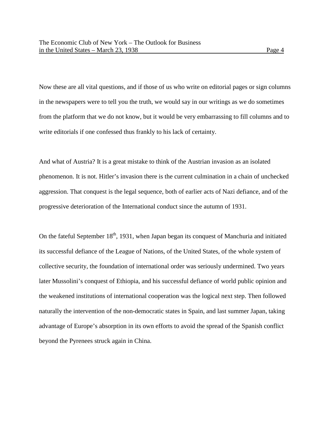Now these are all vital questions, and if those of us who write on editorial pages or sign columns in the newspapers were to tell you the truth, we would say in our writings as we do sometimes from the platform that we do not know, but it would be very embarrassing to fill columns and to write editorials if one confessed thus frankly to his lack of certainty.

And what of Austria? It is a great mistake to think of the Austrian invasion as an isolated phenomenon. It is not. Hitler's invasion there is the current culmination in a chain of unchecked aggression. That conquest is the legal sequence, both of earlier acts of Nazi defiance, and of the progressive deterioration of the International conduct since the autumn of 1931.

On the fateful September  $18<sup>th</sup>$ , 1931, when Japan began its conquest of Manchuria and initiated its successful defiance of the League of Nations, of the United States, of the whole system of collective security, the foundation of international order was seriously undermined. Two years later Mussolini's conquest of Ethiopia, and his successful defiance of world public opinion and the weakened institutions of international cooperation was the logical next step. Then followed naturally the intervention of the non-democratic states in Spain, and last summer Japan, taking advantage of Europe's absorption in its own efforts to avoid the spread of the Spanish conflict beyond the Pyrenees struck again in China.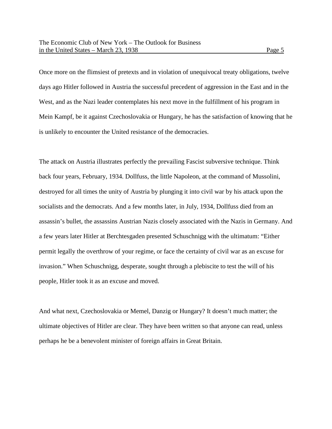Once more on the flimsiest of pretexts and in violation of unequivocal treaty obligations, twelve days ago Hitler followed in Austria the successful precedent of aggression in the East and in the West, and as the Nazi leader contemplates his next move in the fulfillment of his program in Mein Kampf, be it against Czechoslovakia or Hungary, he has the satisfaction of knowing that he is unlikely to encounter the United resistance of the democracies.

The attack on Austria illustrates perfectly the prevailing Fascist subversive technique. Think back four years, February, 1934. Dollfuss, the little Napoleon, at the command of Mussolini, destroyed for all times the unity of Austria by plunging it into civil war by his attack upon the socialists and the democrats. And a few months later, in July, 1934, Dollfuss died from an assassin's bullet, the assassins Austrian Nazis closely associated with the Nazis in Germany. And a few years later Hitler at Berchtesgaden presented Schuschnigg with the ultimatum: "Either permit legally the overthrow of your regime, or face the certainty of civil war as an excuse for invasion." When Schuschnigg, desperate, sought through a plebiscite to test the will of his people, Hitler took it as an excuse and moved.

And what next, Czechoslovakia or Memel, Danzig or Hungary? It doesn't much matter; the ultimate objectives of Hitler are clear. They have been written so that anyone can read, unless perhaps he be a benevolent minister of foreign affairs in Great Britain.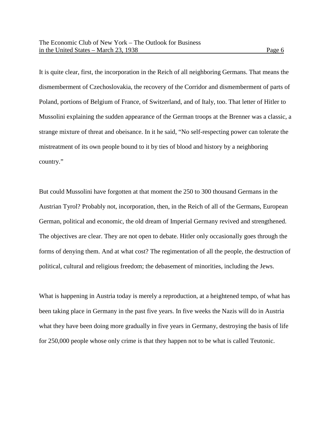It is quite clear, first, the incorporation in the Reich of all neighboring Germans. That means the dismemberment of Czechoslovakia, the recovery of the Corridor and dismemberment of parts of Poland, portions of Belgium of France, of Switzerland, and of Italy, too. That letter of Hitler to Mussolini explaining the sudden appearance of the German troops at the Brenner was a classic, a strange mixture of threat and obeisance. In it he said, "No self-respecting power can tolerate the mistreatment of its own people bound to it by ties of blood and history by a neighboring country."

But could Mussolini have forgotten at that moment the 250 to 300 thousand Germans in the Austrian Tyrol? Probably not, incorporation, then, in the Reich of all of the Germans, European German, political and economic, the old dream of Imperial Germany revived and strengthened. The objectives are clear. They are not open to debate. Hitler only occasionally goes through the forms of denying them. And at what cost? The regimentation of all the people, the destruction of political, cultural and religious freedom; the debasement of minorities, including the Jews.

What is happening in Austria today is merely a reproduction, at a heightened tempo, of what has been taking place in Germany in the past five years. In five weeks the Nazis will do in Austria what they have been doing more gradually in five years in Germany, destroying the basis of life for 250,000 people whose only crime is that they happen not to be what is called Teutonic.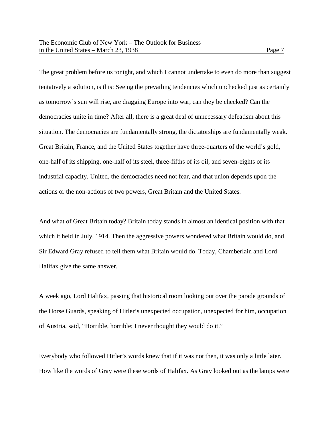tentatively a solution, is this: Seeing the prevailing tendencies which unchecked just as certainly as tomorrow's sun will rise, are dragging Europe into war, can they be checked? Can the democracies unite in time? After all, there is a great deal of unnecessary defeatism about this situation. The democracies are fundamentally strong, the dictatorships are fundamentally weak. Great Britain, France, and the United States together have three-quarters of the world's gold, one-half of its shipping, one-half of its steel, three-fifths of its oil, and seven-eights of its industrial capacity. United, the democracies need not fear, and that union depends upon the actions or the non-actions of two powers, Great Britain and the United States.

And what of Great Britain today? Britain today stands in almost an identical position with that which it held in July, 1914. Then the aggressive powers wondered what Britain would do, and Sir Edward Gray refused to tell them what Britain would do. Today, Chamberlain and Lord Halifax give the same answer.

A week ago, Lord Halifax, passing that historical room looking out over the parade grounds of the Horse Guards, speaking of Hitler's unexpected occupation, unexpected for him, occupation of Austria, said, "Horrible, horrible; I never thought they would do it."

Everybody who followed Hitler's words knew that if it was not then, it was only a little later. How like the words of Gray were these words of Halifax. As Gray looked out as the lamps were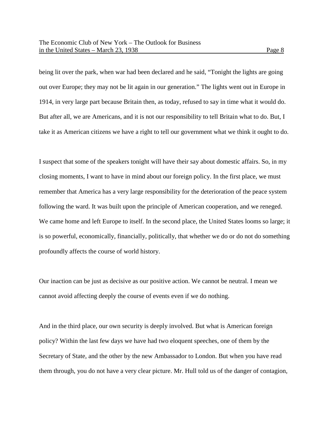being lit over the park, when war had been declared and he said, "Tonight the lights are going out over Europe; they may not be lit again in our generation." The lights went out in Europe in 1914, in very large part because Britain then, as today, refused to say in time what it would do. But after all, we are Americans, and it is not our responsibility to tell Britain what to do. But, I take it as American citizens we have a right to tell our government what we think it ought to do.

I suspect that some of the speakers tonight will have their say about domestic affairs. So, in my closing moments, I want to have in mind about our foreign policy. In the first place, we must remember that America has a very large responsibility for the deterioration of the peace system following the ward. It was built upon the principle of American cooperation, and we reneged. We came home and left Europe to itself. In the second place, the United States looms so large; it is so powerful, economically, financially, politically, that whether we do or do not do something profoundly affects the course of world history.

Our inaction can be just as decisive as our positive action. We cannot be neutral. I mean we cannot avoid affecting deeply the course of events even if we do nothing.

And in the third place, our own security is deeply involved. But what is American foreign policy? Within the last few days we have had two eloquent speeches, one of them by the Secretary of State, and the other by the new Ambassador to London. But when you have read them through, you do not have a very clear picture. Mr. Hull told us of the danger of contagion,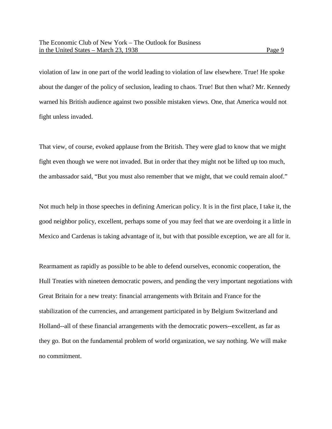violation of law in one part of the world leading to violation of law elsewhere. True! He spoke about the danger of the policy of seclusion, leading to chaos. True! But then what? Mr. Kennedy warned his British audience against two possible mistaken views. One, that America would not fight unless invaded.

That view, of course, evoked applause from the British. They were glad to know that we might fight even though we were not invaded. But in order that they might not be lifted up too much, the ambassador said, "But you must also remember that we might, that we could remain aloof."

Not much help in those speeches in defining American policy. It is in the first place, I take it, the good neighbor policy, excellent, perhaps some of you may feel that we are overdoing it a little in Mexico and Cardenas is taking advantage of it, but with that possible exception, we are all for it.

Rearmament as rapidly as possible to be able to defend ourselves, economic cooperation, the Hull Treaties with nineteen democratic powers, and pending the very important negotiations with Great Britain for a new treaty: financial arrangements with Britain and France for the stabilization of the currencies, and arrangement participated in by Belgium Switzerland and Holland--all of these financial arrangements with the democratic powers--excellent, as far as they go. But on the fundamental problem of world organization, we say nothing. We will make no commitment.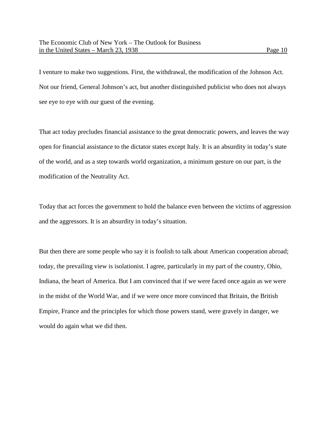I venture to make two suggestions. First, the withdrawal, the modification of the Johnson Act. Not our friend, General Johnson's act, but another distinguished publicist who does not always see eye to eye with our guest of the evening.

That act today precludes financial assistance to the great democratic powers, and leaves the way open for financial assistance to the dictator states except Italy. It is an absurdity in today's state of the world, and as a step towards world organization, a minimum gesture on our part, is the modification of the Neutrality Act.

Today that act forces the government to hold the balance even between the victims of aggression and the aggressors. It is an absurdity in today's situation.

But then there are some people who say it is foolish to talk about American cooperation abroad; today, the prevailing view is isolationist. I agree, particularly in my part of the country, Ohio, Indiana, the heart of America. But I am convinced that if we were faced once again as we were in the midst of the World War, and if we were once more convinced that Britain, the British Empire, France and the principles for which those powers stand, were gravely in danger, we would do again what we did then.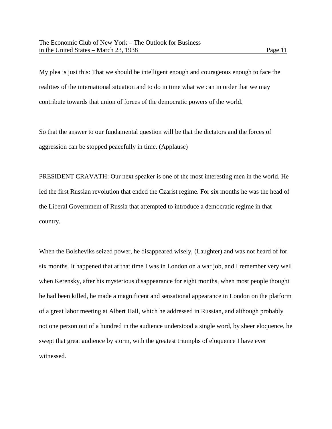My plea is just this: That we should be intelligent enough and courageous enough to face the realities of the international situation and to do in time what we can in order that we may contribute towards that union of forces of the democratic powers of the world.

So that the answer to our fundamental question will be that the dictators and the forces of aggression can be stopped peacefully in time. (Applause)

PRESIDENT CRAVATH: Our next speaker is one of the most interesting men in the world. He led the first Russian revolution that ended the Czarist regime. For six months he was the head of the Liberal Government of Russia that attempted to introduce a democratic regime in that country.

When the Bolsheviks seized power, he disappeared wisely, (Laughter) and was not heard of for six months. It happened that at that time I was in London on a war job, and I remember very well when Kerensky, after his mysterious disappearance for eight months, when most people thought he had been killed, he made a magnificent and sensational appearance in London on the platform of a great labor meeting at Albert Hall, which he addressed in Russian, and although probably not one person out of a hundred in the audience understood a single word, by sheer eloquence, he swept that great audience by storm, with the greatest triumphs of eloquence I have ever witnessed.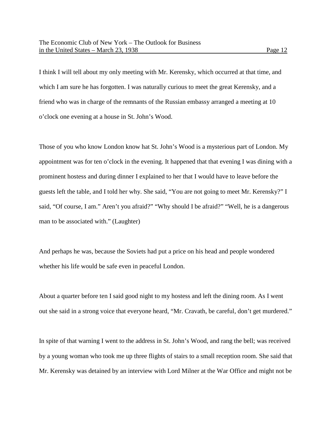I think I will tell about my only meeting with Mr. Kerensky, which occurred at that time, and which I am sure he has forgotten. I was naturally curious to meet the great Kerensky, and a friend who was in charge of the remnants of the Russian embassy arranged a meeting at 10 o'clock one evening at a house in St. John's Wood.

Those of you who know London know hat St. John's Wood is a mysterious part of London. My appointment was for ten o'clock in the evening. It happened that that evening I was dining with a prominent hostess and during dinner I explained to her that I would have to leave before the guests left the table, and I told her why. She said, "You are not going to meet Mr. Kerensky?" I said, "Of course, I am." Aren't you afraid?" "Why should I be afraid?" "Well, he is a dangerous man to be associated with." (Laughter)

And perhaps he was, because the Soviets had put a price on his head and people wondered whether his life would be safe even in peaceful London.

About a quarter before ten I said good night to my hostess and left the dining room. As I went out she said in a strong voice that everyone heard, "Mr. Cravath, be careful, don't get murdered."

In spite of that warning I went to the address in St. John's Wood, and rang the bell; was received by a young woman who took me up three flights of stairs to a small reception room. She said that Mr. Kerensky was detained by an interview with Lord Milner at the War Office and might not be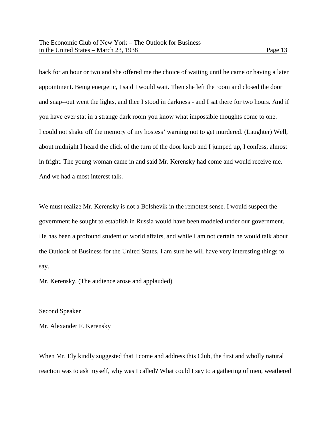back for an hour or two and she offered me the choice of waiting until he came or having a later appointment. Being energetic, I said I would wait. Then she left the room and closed the door and snap--out went the lights, and thee I stood in darkness - and I sat there for two hours. And if you have ever stat in a strange dark room you know what impossible thoughts come to one. I could not shake off the memory of my hostess' warning not to get murdered. (Laughter) Well, about midnight I heard the click of the turn of the door knob and I jumped up, I confess, almost in fright. The young woman came in and said Mr. Kerensky had come and would receive me. And we had a most interest talk.

We must realize Mr. Kerensky is not a Bolshevik in the remotest sense. I would suspect the government he sought to establish in Russia would have been modeled under our government. He has been a profound student of world affairs, and while I am not certain he would talk about the Outlook of Business for the United States, I am sure he will have very interesting things to say.

Mr. Kerensky. (The audience arose and applauded)

## Second Speaker

Mr. Alexander F. Kerensky

When Mr. Ely kindly suggested that I come and address this Club, the first and wholly natural reaction was to ask myself, why was I called? What could I say to a gathering of men, weathered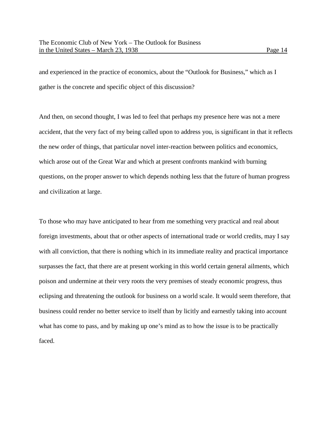and experienced in the practice of economics, about the "Outlook for Business," which as I gather is the concrete and specific object of this discussion?

And then, on second thought, I was led to feel that perhaps my presence here was not a mere accident, that the very fact of my being called upon to address you, is significant in that it reflects the new order of things, that particular novel inter-reaction between politics and economics, which arose out of the Great War and which at present confronts mankind with burning questions, on the proper answer to which depends nothing less that the future of human progress and civilization at large.

To those who may have anticipated to hear from me something very practical and real about foreign investments, about that or other aspects of international trade or world credits, may I say with all conviction, that there is nothing which in its immediate reality and practical importance surpasses the fact, that there are at present working in this world certain general ailments, which poison and undermine at their very roots the very premises of steady economic progress, thus eclipsing and threatening the outlook for business on a world scale. It would seem therefore, that business could render no better service to itself than by licitly and earnestly taking into account what has come to pass, and by making up one's mind as to how the issue is to be practically faced.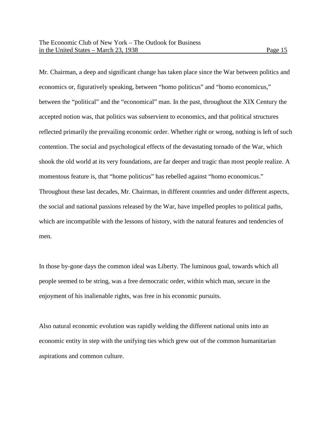Mr. Chairman, a deep and significant change has taken place since the War between politics and economics or, figuratively speaking, between "homo politicus" and "homo economicus," between the "political" and the "economical" man. In the past, throughout the XIX Century the accepted notion was, that politics was subservient to economics, and that political structures reflected primarily the prevailing economic order. Whether right or wrong, nothing is left of such contention. The social and psychological effects of the devastating tornado of the War, which shook the old world at its very foundations, are far deeper and tragic than most people realize. A momentous feature is, that "home politicus" has rebelled against "homo economicus." Throughout these last decades, Mr. Chairman, in different countries and under different aspects, the social and national passions released by the War, have impelled peoples to political paths, which are incompatible with the lessons of history, with the natural features and tendencies of men.

In those by-gone days the common ideal was Liberty. The luminous goal, towards which all people seemed to be string, was a free democratic order, within which man, secure in the enjoyment of his inalienable rights, was free in his economic pursuits.

Also natural economic evolution was rapidly welding the different national units into an economic entity in step with the unifying ties which grew out of the common humanitarian aspirations and common culture.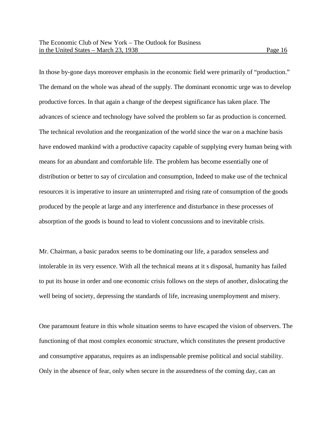In those by-gone days moreover emphasis in the economic field were primarily of "production." The demand on the whole was ahead of the supply. The dominant economic urge was to develop productive forces. In that again a change of the deepest significance has taken place. The advances of science and technology have solved the problem so far as production is concerned. The technical revolution and the reorganization of the world since the war on a machine basis have endowed mankind with a productive capacity capable of supplying every human being with means for an abundant and comfortable life. The problem has become essentially one of distribution or better to say of circulation and consumption, Indeed to make use of the technical resources it is imperative to insure an uninterrupted and rising rate of consumption of the goods produced by the people at large and any interference and disturbance in these processes of absorption of the goods is bound to lead to violent concussions and to inevitable crisis.

Mr. Chairman, a basic paradox seems to be dominating our life, a paradox senseless and intolerable in its very essence. With all the technical means at it s disposal, humanity has failed to put its house in order and one economic crisis follows on the steps of another, dislocating the well being of society, depressing the standards of life, increasing unemployment and misery.

One paramount feature in this whole situation seems to have escaped the vision of observers. The functioning of that most complex economic structure, which constitutes the present productive and consumptive apparatus, requires as an indispensable premise political and social stability. Only in the absence of fear, only when secure in the assuredness of the coming day, can an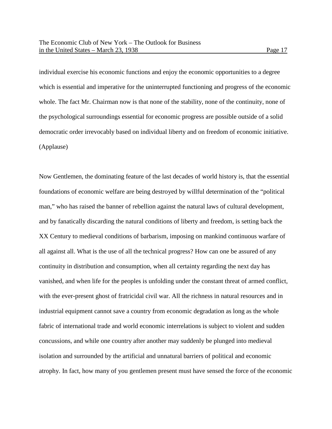individual exercise his economic functions and enjoy the economic opportunities to a degree which is essential and imperative for the uninterrupted functioning and progress of the economic whole. The fact Mr. Chairman now is that none of the stability, none of the continuity, none of the psychological surroundings essential for economic progress are possible outside of a solid democratic order irrevocably based on individual liberty and on freedom of economic initiative. (Applause)

Now Gentlemen, the dominating feature of the last decades of world history is, that the essential foundations of economic welfare are being destroyed by willful determination of the "political man," who has raised the banner of rebellion against the natural laws of cultural development, and by fanatically discarding the natural conditions of liberty and freedom, is setting back the XX Century to medieval conditions of barbarism, imposing on mankind continuous warfare of all against all. What is the use of all the technical progress? How can one be assured of any continuity in distribution and consumption, when all certainty regarding the next day has vanished, and when life for the peoples is unfolding under the constant threat of armed conflict, with the ever-present ghost of fratricidal civil war. All the richness in natural resources and in industrial equipment cannot save a country from economic degradation as long as the whole fabric of international trade and world economic interrelations is subject to violent and sudden concussions, and while one country after another may suddenly be plunged into medieval isolation and surrounded by the artificial and unnatural barriers of political and economic atrophy. In fact, how many of you gentlemen present must have sensed the force of the economic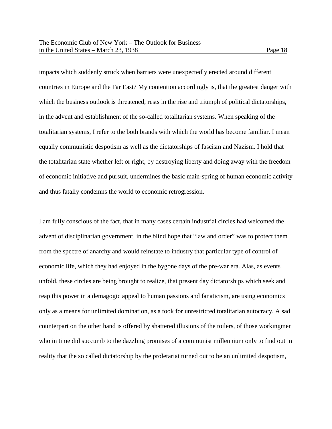impacts which suddenly struck when barriers were unexpectedly erected around different countries in Europe and the Far East? My contention accordingly is, that the greatest danger with which the business outlook is threatened, rests in the rise and triumph of political dictatorships, in the advent and establishment of the so-called totalitarian systems. When speaking of the totalitarian systems, I refer to the both brands with which the world has become familiar. I mean equally communistic despotism as well as the dictatorships of fascism and Nazism. I hold that the totalitarian state whether left or right, by destroying liberty and doing away with the freedom of economic initiative and pursuit, undermines the basic main-spring of human economic activity and thus fatally condemns the world to economic retrogression.

I am fully conscious of the fact, that in many cases certain industrial circles had welcomed the advent of disciplinarian government, in the blind hope that "law and order" was to protect them from the spectre of anarchy and would reinstate to industry that particular type of control of economic life, which they had enjoyed in the bygone days of the pre-war era. Alas, as events unfold, these circles are being brought to realize, that present day dictatorships which seek and reap this power in a demagogic appeal to human passions and fanaticism, are using economics only as a means for unlimited domination, as a took for unrestricted totalitarian autocracy. A sad counterpart on the other hand is offered by shattered illusions of the toilers, of those workingmen who in time did succumb to the dazzling promises of a communist millennium only to find out in reality that the so called dictatorship by the proletariat turned out to be an unlimited despotism,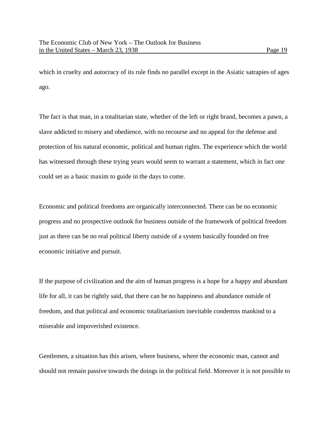which in cruelty and autocracy of its rule finds no parallel except in the Asiatic satrapies of ages ago.

The fact is that man, in a totalitarian state, whether of the left or right brand, becomes a pawn, a slave addicted to misery and obedience, with no recourse and no appeal for the defense and protection of his natural economic, political and human rights. The experience which the world has witnessed through these trying years would seem to warrant a statement, which in fact one could set as a basic maxim to guide in the days to come.

Economic and political freedoms are organically interconnected. There can be no economic progress and no prospective outlook for business outside of the framework of political freedom just as there can be no real political liberty outside of a system basically founded on free economic initiative and pursuit.

If the purpose of civilization and the aim of human progress is a hope for a happy and abundant life for all, it can be rightly said, that there can be no happiness and abundance outside of freedom, and that political and economic totalitarianism inevitable condemns mankind to a miserable and impoverished existence.

Gentlemen, a situation has this arisen, where business, where the economic man, cannot and should not remain passive towards the doings in the political field. Moreover it is not possible to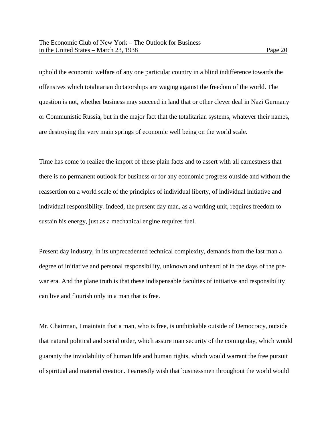uphold the economic welfare of any one particular country in a blind indifference towards the offensives which totalitarian dictatorships are waging against the freedom of the world. The question is not, whether business may succeed in land that or other clever deal in Nazi Germany or Communistic Russia, but in the major fact that the totalitarian systems, whatever their names, are destroying the very main springs of economic well being on the world scale.

Time has come to realize the import of these plain facts and to assert with all earnestness that there is no permanent outlook for business or for any economic progress outside and without the reassertion on a world scale of the principles of individual liberty, of individual initiative and individual responsibility. Indeed, the present day man, as a working unit, requires freedom to sustain his energy, just as a mechanical engine requires fuel.

Present day industry, in its unprecedented technical complexity, demands from the last man a degree of initiative and personal responsibility, unknown and unheard of in the days of the prewar era. And the plane truth is that these indispensable faculties of initiative and responsibility can live and flourish only in a man that is free.

Mr. Chairman, I maintain that a man, who is free, is unthinkable outside of Democracy, outside that natural political and social order, which assure man security of the coming day, which would guaranty the inviolability of human life and human rights, which would warrant the free pursuit of spiritual and material creation. I earnestly wish that businessmen throughout the world would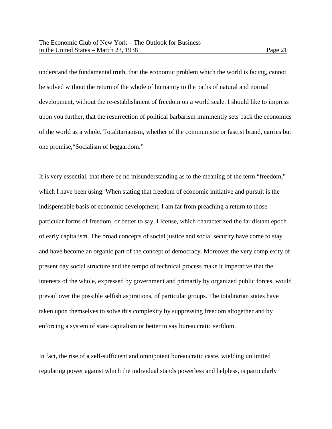understand the fundamental truth, that the economic problem which the world is facing, cannot be solved without the return of the whole of humanity to the paths of natural and normal development, without the re-establishment of freedom on a world scale. I should like to impress upon you further, that the resurrection of political barbarism imminently sets back the economics of the world as a whole. Totalitarianism, whether of the communistic or fascist brand, carries but one promise,"Socialism of beggardom."

It is very essential, that there be no misunderstanding as to the meaning of the term "freedom," which I have been using. When stating that freedom of economic initiative and pursuit is the indispensable basis of economic development, I am far from preaching a return to those particular forms of freedom, or better to say, License, which characterized the far distant epoch of early capitalism. The broad concepts of social justice and social security have come to stay and have become an organic part of the concept of democracy. Moreover the very complexity of present day social structure and the tempo of technical process make it imperative that the interests of the whole, expressed by government and primarily by organized public forces, would prevail over the possible selfish aspirations, of particular groups. The totalitarian states have taken upon themselves to solve this complexity by suppressing freedom altogether and by enforcing a system of state capitalism or better to say bureaucratic serfdom.

In fact, the rise of a self-sufficient and omnipotent bureaucratic caste, wielding unlimited regulating power against which the individual stands powerless and helpless, is particularly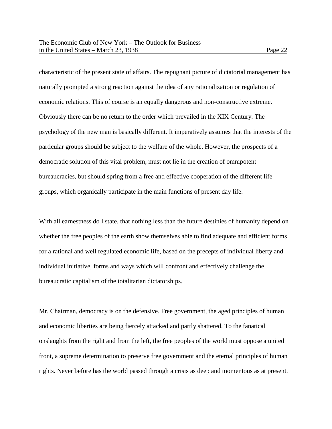characteristic of the present state of affairs. The repugnant picture of dictatorial management has naturally prompted a strong reaction against the idea of any rationalization or regulation of economic relations. This of course is an equally dangerous and non-constructive extreme. Obviously there can be no return to the order which prevailed in the XIX Century. The psychology of the new man is basically different. It imperatively assumes that the interests of the particular groups should be subject to the welfare of the whole. However, the prospects of a

democratic solution of this vital problem, must not lie in the creation of omnipotent bureaucracies, but should spring from a free and effective cooperation of the different life groups, which organically participate in the main functions of present day life.

With all earnestness do I state, that nothing less than the future destinies of humanity depend on whether the free peoples of the earth show themselves able to find adequate and efficient forms for a rational and well regulated economic life, based on the precepts of individual liberty and individual initiative, forms and ways which will confront and effectively challenge the bureaucratic capitalism of the totalitarian dictatorships.

Mr. Chairman, democracy is on the defensive. Free government, the aged principles of human and economic liberties are being fiercely attacked and partly shattered. To the fanatical onslaughts from the right and from the left, the free peoples of the world must oppose a united front, a supreme determination to preserve free government and the eternal principles of human rights. Never before has the world passed through a crisis as deep and momentous as at present.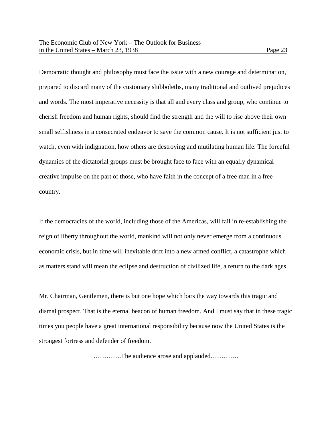Democratic thought and philosophy must face the issue with a new courage and determination, prepared to discard many of the customary shibboleths, many traditional and outlived prejudices and words. The most imperative necessity is that all and every class and group, who continue to cherish freedom and human rights, should find the strength and the will to rise above their own small selfishness in a consecrated endeavor to save the common cause. It is not sufficient just to watch, even with indignation, how others are destroying and mutilating human life. The forceful dynamics of the dictatorial groups must be brought face to face with an equally dynamical creative impulse on the part of those, who have faith in the concept of a free man in a free country.

If the democracies of the world, including those of the Americas, will fail in re-establishing the reign of liberty throughout the world, mankind will not only never emerge from a continuous economic crisis, but in time will inevitable drift into a new armed conflict, a catastrophe which as matters stand will mean the eclipse and destruction of civilized life, a return to the dark ages.

Mr. Chairman, Gentlemen, there is but one hope which bars the way towards this tragic and dismal prospect. That is the eternal beacon of human freedom. And I must say that in these tragic times you people have a great international responsibility because now the United States is the strongest fortress and defender of freedom.

………….The audience arose and applauded………….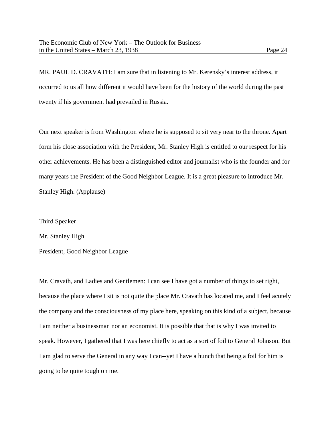MR. PAUL D. CRAVATH: I am sure that in listening to Mr. Kerensky's interest address, it occurred to us all how different it would have been for the history of the world during the past twenty if his government had prevailed in Russia.

Our next speaker is from Washington where he is supposed to sit very near to the throne. Apart form his close association with the President, Mr. Stanley High is entitled to our respect for his other achievements. He has been a distinguished editor and journalist who is the founder and for many years the President of the Good Neighbor League. It is a great pleasure to introduce Mr. Stanley High. (Applause)

Third Speaker

Mr. Stanley High

President, Good Neighbor League

Mr. Cravath, and Ladies and Gentlemen: I can see I have got a number of things to set right, because the place where I sit is not quite the place Mr. Cravath has located me, and I feel acutely the company and the consciousness of my place here, speaking on this kind of a subject, because I am neither a businessman nor an economist. It is possible that that is why I was invited to speak. However, I gathered that I was here chiefly to act as a sort of foil to General Johnson. But I am glad to serve the General in any way I can--yet I have a hunch that being a foil for him is going to be quite tough on me.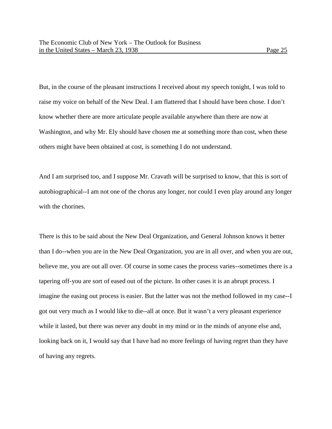But, in the course of the pleasant instructions I received about my speech tonight, I was told to raise my voice on behalf of the New Deal. I am flattered that I should have been chose. I don't know whether there are more articulate people available anywhere than there are now at Washington, and why Mr. Ely should have chosen me at something more than cost, when these others might have been obtained at cost, is something I do not understand.

And I am surprised too, and I suppose Mr. Cravath will be surprised to know, that this is sort of autobiographical--I am not one of the chorus any longer, nor could I even play around any longer with the chorines.

There is this to be said about the New Deal Organization, and General Johnson knows it better than I do--when you are in the New Deal Organization, you are in all over, and when you are out, believe me, you are out all over. Of course in some cases the process varies--sometimes there is a tapering off-you are sort of eased out of the picture. In other cases it is an abrupt process. I imagine the easing out process is easier. But the latter was not the method followed in my case--I got out very much as I would like to die--all at once. But it wasn't a very pleasant experience while it lasted, but there was never any doubt in my mind or in the minds of anyone else and, looking back on it, I would say that I have had no more feelings of having regret than they have of having any regrets.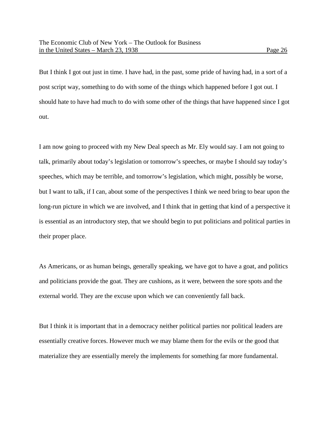But I think I got out just in time. I have had, in the past, some pride of having had, in a sort of a post script way, something to do with some of the things which happened before I got out. I should hate to have had much to do with some other of the things that have happened since I got out.

I am now going to proceed with my New Deal speech as Mr. Ely would say. I am not going to talk, primarily about today's legislation or tomorrow's speeches, or maybe I should say today's speeches, which may be terrible, and tomorrow's legislation, which might, possibly be worse, but I want to talk, if I can, about some of the perspectives I think we need bring to bear upon the long-run picture in which we are involved, and I think that in getting that kind of a perspective it is essential as an introductory step, that we should begin to put politicians and political parties in their proper place.

As Americans, or as human beings, generally speaking, we have got to have a goat, and politics and politicians provide the goat. They are cushions, as it were, between the sore spots and the external world. They are the excuse upon which we can conveniently fall back.

But I think it is important that in a democracy neither political parties nor political leaders are essentially creative forces. However much we may blame them for the evils or the good that materialize they are essentially merely the implements for something far more fundamental.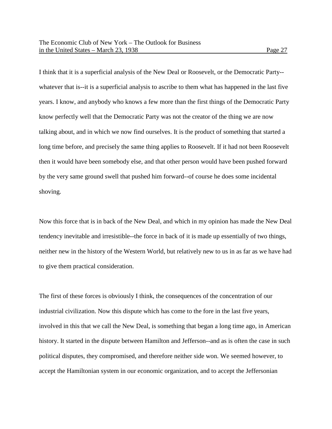I think that it is a superficial analysis of the New Deal or Roosevelt, or the Democratic Party- whatever that is--it is a superficial analysis to ascribe to them what has happened in the last five years. I know, and anybody who knows a few more than the first things of the Democratic Party know perfectly well that the Democratic Party was not the creator of the thing we are now talking about, and in which we now find ourselves. It is the product of something that started a long time before, and precisely the same thing applies to Roosevelt. If it had not been Roosevelt then it would have been somebody else, and that other person would have been pushed forward by the very same ground swell that pushed him forward--of course he does some incidental shoving.

Now this force that is in back of the New Deal, and which in my opinion has made the New Deal tendency inevitable and irresistible--the force in back of it is made up essentially of two things, neither new in the history of the Western World, but relatively new to us in as far as we have had to give them practical consideration.

The first of these forces is obviously I think, the consequences of the concentration of our industrial civilization. Now this dispute which has come to the fore in the last five years, involved in this that we call the New Deal, is something that began a long time ago, in American history. It started in the dispute between Hamilton and Jefferson--and as is often the case in such political disputes, they compromised, and therefore neither side won. We seemed however, to accept the Hamiltonian system in our economic organization, and to accept the Jeffersonian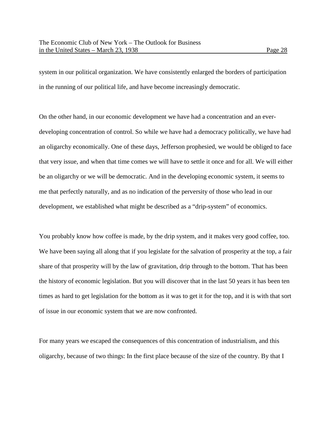system in our political organization. We have consistently enlarged the borders of participation in the running of our political life, and have become increasingly democratic.

On the other hand, in our economic development we have had a concentration and an everdeveloping concentration of control. So while we have had a democracy politically, we have had an oligarchy economically. One of these days, Jefferson prophesied, we would be obliged to face that very issue, and when that time comes we will have to settle it once and for all. We will either be an oligarchy or we will be democratic. And in the developing economic system, it seems to me that perfectly naturally, and as no indication of the perversity of those who lead in our development, we established what might be described as a "drip-system" of economics.

You probably know how coffee is made, by the drip system, and it makes very good coffee, too. We have been saying all along that if you legislate for the salvation of prosperity at the top, a fair share of that prosperity will by the law of gravitation, drip through to the bottom. That has been the history of economic legislation. But you will discover that in the last 50 years it has been ten times as hard to get legislation for the bottom as it was to get it for the top, and it is with that sort of issue in our economic system that we are now confronted.

For many years we escaped the consequences of this concentration of industrialism, and this oligarchy, because of two things: In the first place because of the size of the country. By that I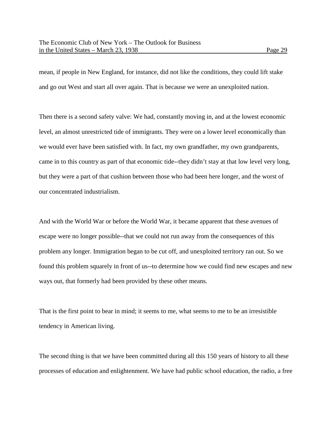mean, if people in New England, for instance, did not like the conditions, they could lift stake and go out West and start all over again. That is because we were an unexploited nation.

Then there is a second safety valve: We had, constantly moving in, and at the lowest economic level, an almost unrestricted tide of immigrants. They were on a lower level economically than we would ever have been satisfied with. In fact, my own grandfather, my own grandparents, came in to this country as part of that economic tide--they didn't stay at that low level very long, but they were a part of that cushion between those who had been here longer, and the worst of our concentrated industrialism.

And with the World War or before the World War, it became apparent that these avenues of escape were no longer possible--that we could not run away from the consequences of this problem any longer. Immigration began to be cut off, and unexploited territory ran out. So we found this problem squarely in front of us--to determine how we could find new escapes and new ways out, that formerly had been provided by these other means.

That is the first point to bear in mind; it seems to me, what seems to me to be an irresistible tendency in American living.

The second thing is that we have been committed during all this 150 years of history to all these processes of education and enlightenment. We have had public school education, the radio, a free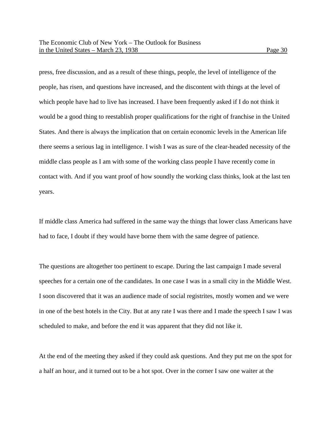press, free discussion, and as a result of these things, people, the level of intelligence of the people, has risen, and questions have increased, and the discontent with things at the level of which people have had to live has increased. I have been frequently asked if I do not think it would be a good thing to reestablish proper qualifications for the right of franchise in the United States. And there is always the implication that on certain economic levels in the American life there seems a serious lag in intelligence. I wish I was as sure of the clear-headed necessity of the middle class people as I am with some of the working class people I have recently come in contact with. And if you want proof of how soundly the working class thinks, look at the last ten years.

If middle class America had suffered in the same way the things that lower class Americans have had to face, I doubt if they would have borne them with the same degree of patience.

The questions are altogether too pertinent to escape. During the last campaign I made several speeches for a certain one of the candidates. In one case I was in a small city in the Middle West. I soon discovered that it was an audience made of social registrites, mostly women and we were in one of the best hotels in the City. But at any rate I was there and I made the speech I saw I was scheduled to make, and before the end it was apparent that they did not like it.

At the end of the meeting they asked if they could ask questions. And they put me on the spot for a half an hour, and it turned out to be a hot spot. Over in the corner I saw one waiter at the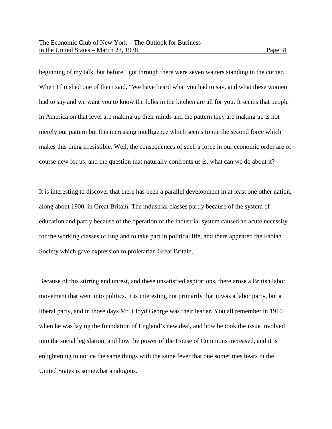beginning of my talk, but before I got through there were seven waiters standing in the corner. When I finished one of them said, "We have heard what you had to say, and what these women had to say and we want you to know the folks in the kitchen are all for you. It seems that people in America on that level are making up their minds and the pattern they are making up is not merely our pattern but this increasing intelligence which seems to me the second force which makes this thing irresistible. Well, the consequences of such a force in our economic order are of course new for us, and the question that naturally confronts us is, what can we do about it?

It is interesting to discover that there has been a parallel development in at least one other nation, along about 1900, in Great Britain. The industrial classes partly because of the system of education and partly because of the operation of the industrial system caused an acute necessity for the working classes of England to take part in political life, and there appeared the Fabian Society which gave expression to proletarian Great Britain.

Because of this stirring and unrest, and these unsatisfied aspirations, there arose a British labor movement that went into politics. It is interesting not primarily that it was a labor party, but a liberal party, and in those days Mr. Lloyd George was their leader. You all remember in 1910 when he was laying the foundation of England's new deal, and how he took the issue involved into the social legislation, and how the power of the House of Commons increased, and it is enlightening to notice the same things with the same fever that one sometimes hears in the United States is somewhat analogous.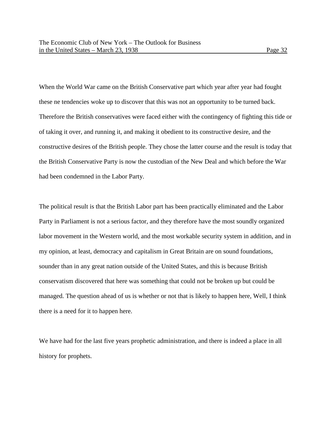When the World War came on the British Conservative part which year after year had fought these ne tendencies woke up to discover that this was not an opportunity to be turned back. Therefore the British conservatives were faced either with the contingency of fighting this tide or of taking it over, and running it, and making it obedient to its constructive desire, and the constructive desires of the British people. They chose the latter course and the result is today that the British Conservative Party is now the custodian of the New Deal and which before the War had been condemned in the Labor Party.

The political result is that the British Labor part has been practically eliminated and the Labor Party in Parliament is not a serious factor, and they therefore have the most soundly organized labor movement in the Western world, and the most workable security system in addition, and in my opinion, at least, democracy and capitalism in Great Britain are on sound foundations, sounder than in any great nation outside of the United States, and this is because British conservatism discovered that here was something that could not be broken up but could be managed. The question ahead of us is whether or not that is likely to happen here, Well, I think there is a need for it to happen here.

We have had for the last five years prophetic administration, and there is indeed a place in all history for prophets.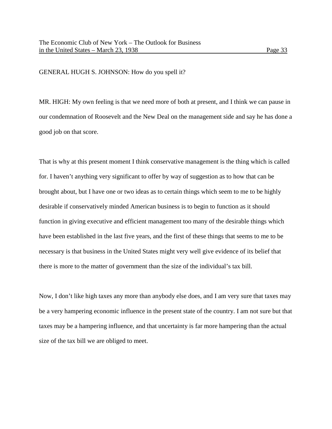GENERAL HUGH S. JOHNSON: How do you spell it?

MR. HIGH: My own feeling is that we need more of both at present, and I think we can pause in our condemnation of Roosevelt and the New Deal on the management side and say he has done a good job on that score.

That is why at this present moment I think conservative management is the thing which is called for. I haven't anything very significant to offer by way of suggestion as to how that can be brought about, but I have one or two ideas as to certain things which seem to me to be highly desirable if conservatively minded American business is to begin to function as it should function in giving executive and efficient management too many of the desirable things which have been established in the last five years, and the first of these things that seems to me to be necessary is that business in the United States might very well give evidence of its belief that there is more to the matter of government than the size of the individual's tax bill.

Now, I don't like high taxes any more than anybody else does, and I am very sure that taxes may be a very hampering economic influence in the present state of the country. I am not sure but that taxes may be a hampering influence, and that uncertainty is far more hampering than the actual size of the tax bill we are obliged to meet.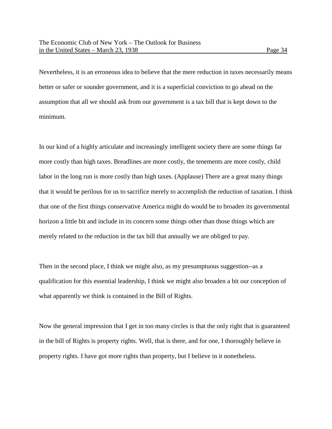Nevertheless, it is an erroneous idea to believe that the mere reduction in taxes necessarily means better or safer or sounder government, and it is a superficial conviction to go ahead on the assumption that all we should ask from our government is a tax bill that is kept down to the minimum.

In our kind of a highly articulate and increasingly intelligent society there are some things far more costly than high taxes. Breadlines are more costly, the tenements are more costly, child labor in the long run is more costly than high taxes. (Applause) There are a great many things that it would be perilous for us to sacrifice merely to accomplish the reduction of taxation. I think that one of the first things conservative America might do would be to broaden its governmental horizon a little bit and include in its concern some things other than those things which are merely related to the reduction in the tax bill that annually we are obliged to pay.

Then in the second place, I think we might also, as my presumptuous suggestion--as a qualification for this essential leadership, I think we might also broaden a bit our conception of what apparently we think is contained in the Bill of Rights.

Now the general impression that I get in too many circles is that the only right that is guaranteed in the bill of Rights is property rights. Well, that is there, and for one, I thoroughly believe in property rights. I have got more rights than property, but I believe in it nonetheless.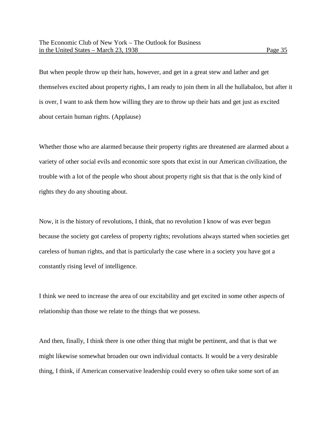But when people throw up their hats, however, and get in a great stew and lather and get themselves excited about property rights, I am ready to join them in all the hullabaloo, but after it is over, I want to ask them how willing they are to throw up their hats and get just as excited about certain human rights. (Applause)

Whether those who are alarmed because their property rights are threatened are alarmed about a variety of other social evils and economic sore spots that exist in our American civilization, the trouble with a lot of the people who shout about property right sis that that is the only kind of rights they do any shouting about.

Now, it is the history of revolutions, I think, that no revolution I know of was ever begun because the society got careless of property rights; revolutions always started when societies get careless of human rights, and that is particularly the case where in a society you have got a constantly rising level of intelligence.

I think we need to increase the area of our excitability and get excited in some other aspects of relationship than those we relate to the things that we possess.

And then, finally, I think there is one other thing that might be pertinent, and that is that we might likewise somewhat broaden our own individual contacts. It would be a very desirable thing, I think, if American conservative leadership could every so often take some sort of an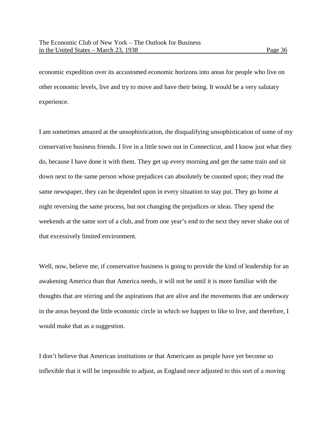economic expedition over its accustomed economic horizons into areas for people who live on other economic levels, live and try to move and have their being. It would be a very salutary experience.

I am sometimes amazed at the unsophistication, the disqualifying unsophistication of some of my conservative business friends. I live in a little town out in Connecticut, and I know just what they do, because I have done it with them. They get up every morning and get the same train and sit down next to the same person whose prejudices can absolutely be counted upon; they read the same newspaper, they can be depended upon in every situation to stay put. They go home at night reversing the same process, but not changing the prejudices or ideas. They spend the weekends at the same sort of a club, and from one year's end to the next they never shake out of that excessively limited environment.

Well, now, believe me, if conservative business is going to provide the kind of leadership for an awakening America than that America needs, it will not be until it is more familiar with the thoughts that are stirring and the aspirations that are alive and the movements that are underway in the areas beyond the little economic circle in which we happen to like to live, and therefore, I would make that as a suggestion.

I don't believe that American institutions or that Americans as people have yet become so inflexible that it will be impossible to adjust, as England once adjusted to this sort of a moving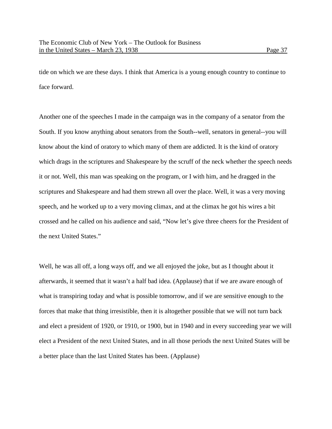tide on which we are these days. I think that America is a young enough country to continue to face forward.

Another one of the speeches I made in the campaign was in the company of a senator from the South. If you know anything about senators from the South--well, senators in general--you will know about the kind of oratory to which many of them are addicted. It is the kind of oratory which drags in the scriptures and Shakespeare by the scruff of the neck whether the speech needs it or not. Well, this man was speaking on the program, or I with him, and he dragged in the scriptures and Shakespeare and had them strewn all over the place. Well, it was a very moving speech, and he worked up to a very moving climax, and at the climax he got his wires a bit crossed and he called on his audience and said, "Now let's give three cheers for the President of the next United States."

Well, he was all off, a long ways off, and we all enjoyed the joke, but as I thought about it afterwards, it seemed that it wasn't a half bad idea. (Applause) that if we are aware enough of what is transpiring today and what is possible tomorrow, and if we are sensitive enough to the forces that make that thing irresistible, then it is altogether possible that we will not turn back and elect a president of 1920, or 1910, or 1900, but in 1940 and in every succeeding year we will elect a President of the next United States, and in all those periods the next United States will be a better place than the last United States has been. (Applause)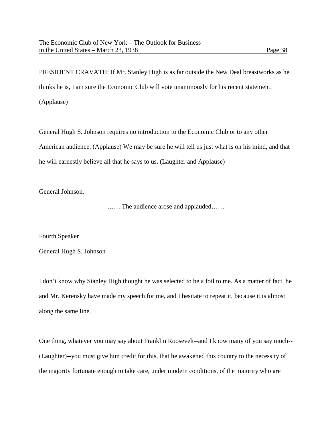PRESIDENT CRAVATH: If Mr. Stanley High is as far outside the New Deal breastworks as he thinks he is, I am sure the Economic Club will vote unanimously for his recent statement. (Applause)

General Hugh S. Johnson requires no introduction to the Economic Club or to any other American audience. (Applause) We may be sure he will tell us just what is on his mind, and that he will earnestly believe all that he says to us. (Laughter and Applause)

General Johnson.

…….The audience arose and applauded……

Fourth Speaker

General Hugh S. Johnson

I don't know why Stanley High thought he was selected to be a foil to me. As a matter of fact, he and Mr. Kerensky have made my speech for me, and I hesitate to repeat it, because it is almost along the same line.

One thing, whatever you may say about Franklin Roosevelt--and I know many of you say much-- (Laughter)--you must give him credit for this, that he awakened this country to the necessity of the majority fortunate enough to take care, under modern conditions, of the majority who are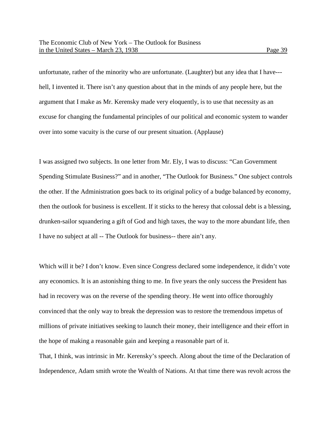unfortunate, rather of the minority who are unfortunate. (Laughter) but any idea that I have-- hell, I invented it. There isn't any question about that in the minds of any people here, but the argument that I make as Mr. Kerensky made very eloquently, is to use that necessity as an excuse for changing the fundamental principles of our political and economic system to wander over into some vacuity is the curse of our present situation. (Applause)

I was assigned two subjects. In one letter from Mr. Ely, I was to discuss: "Can Government Spending Stimulate Business?" and in another, "The Outlook for Business." One subject controls the other. If the Administration goes back to its original policy of a budge balanced by economy, then the outlook for business is excellent. If it sticks to the heresy that colossal debt is a blessing, drunken-sailor squandering a gift of God and high taxes, the way to the more abundant life, then I have no subject at all -- The Outlook for business-- there ain't any.

Which will it be? I don't know. Even since Congress declared some independence, it didn't vote any economics. It is an astonishing thing to me. In five years the only success the President has had in recovery was on the reverse of the spending theory. He went into office thoroughly convinced that the only way to break the depression was to restore the tremendous impetus of millions of private initiatives seeking to launch their money, their intelligence and their effort in the hope of making a reasonable gain and keeping a reasonable part of it.

That, I think, was intrinsic in Mr. Kerensky's speech. Along about the time of the Declaration of Independence, Adam smith wrote the Wealth of Nations. At that time there was revolt across the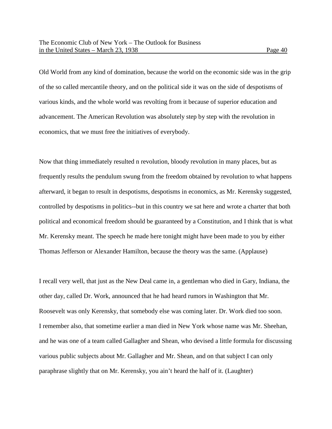Old World from any kind of domination, because the world on the economic side was in the grip of the so called mercantile theory, and on the political side it was on the side of despotisms of various kinds, and the whole world was revolting from it because of superior education and advancement. The American Revolution was absolutely step by step with the revolution in economics, that we must free the initiatives of everybody.

Now that thing immediately resulted n revolution, bloody revolution in many places, but as frequently results the pendulum swung from the freedom obtained by revolution to what happens afterward, it began to result in despotisms, despotisms in economics, as Mr. Kerensky suggested, controlled by despotisms in politics--but in this country we sat here and wrote a charter that both political and economical freedom should be guaranteed by a Constitution, and I think that is what Mr. Kerensky meant. The speech he made here tonight might have been made to you by either Thomas Jefferson or Alexander Hamilton, because the theory was the same. (Applause)

I recall very well, that just as the New Deal came in, a gentleman who died in Gary, Indiana, the other day, called Dr. Work, announced that he had heard rumors in Washington that Mr. Roosevelt was only Kerensky, that somebody else was coming later. Dr. Work died too soon. I remember also, that sometime earlier a man died in New York whose name was Mr. Sheehan, and he was one of a team called Gallagher and Shean, who devised a little formula for discussing various public subjects about Mr. Gallagher and Mr. Shean, and on that subject I can only paraphrase slightly that on Mr. Kerensky, you ain't heard the half of it. (Laughter)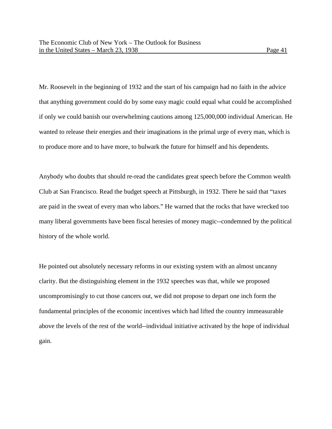Mr. Roosevelt in the beginning of 1932 and the start of his campaign had no faith in the advice that anything government could do by some easy magic could equal what could be accomplished if only we could banish our overwhelming cautions among 125,000,000 individual American. He wanted to release their energies and their imaginations in the primal urge of every man, which is to produce more and to have more, to bulwark the future for himself and his dependents.

Anybody who doubts that should re-read the candidates great speech before the Common wealth Club at San Francisco. Read the budget speech at Pittsburgh, in 1932. There he said that "taxes are paid in the sweat of every man who labors." He warned that the rocks that have wrecked too many liberal governments have been fiscal heresies of money magic--condemned by the political history of the whole world.

He pointed out absolutely necessary reforms in our existing system with an almost uncanny clarity. But the distinguishing element in the 1932 speeches was that, while we proposed uncompromisingly to cut those cancers out, we did not propose to depart one inch form the fundamental principles of the economic incentives which had lifted the country immeasurable above the levels of the rest of the world--individual initiative activated by the hope of individual gain.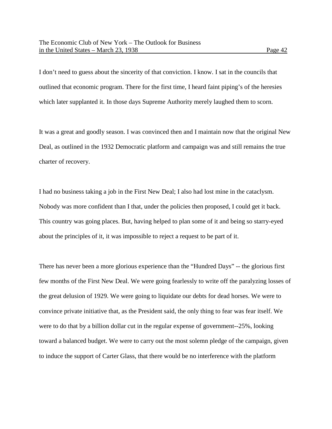I don't need to guess about the sincerity of that conviction. I know. I sat in the councils that outlined that economic program. There for the first time, I heard faint piping's of the heresies which later supplanted it. In those days Supreme Authority merely laughed them to scorn.

It was a great and goodly season. I was convinced then and I maintain now that the original New Deal, as outlined in the 1932 Democratic platform and campaign was and still remains the true charter of recovery.

I had no business taking a job in the First New Deal; I also had lost mine in the cataclysm. Nobody was more confident than I that, under the policies then proposed, I could get it back. This country was going places. But, having helped to plan some of it and being so starry-eyed about the principles of it, it was impossible to reject a request to be part of it.

There has never been a more glorious experience than the "Hundred Days" -- the glorious first few months of the First New Deal. We were going fearlessly to write off the paralyzing losses of the great delusion of 1929. We were going to liquidate our debts for dead horses. We were to convince private initiative that, as the President said, the only thing to fear was fear itself. We were to do that by a billion dollar cut in the regular expense of government--25%, looking toward a balanced budget. We were to carry out the most solemn pledge of the campaign, given to induce the support of Carter Glass, that there would be no interference with the platform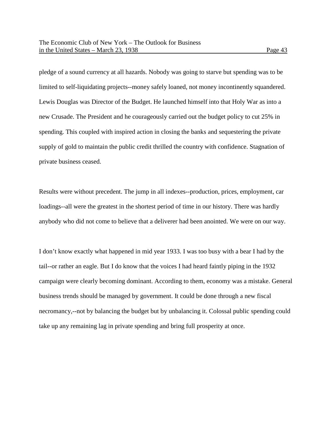pledge of a sound currency at all hazards. Nobody was going to starve but spending was to be limited to self-liquidating projects--money safely loaned, not money incontinently squandered. Lewis Douglas was Director of the Budget. He launched himself into that Holy War as into a new Crusade. The President and he courageously carried out the budget policy to cut 25% in spending. This coupled with inspired action in closing the banks and sequestering the private supply of gold to maintain the public credit thrilled the country with confidence. Stagnation of private business ceased.

Results were without precedent. The jump in all indexes--production, prices, employment, car loadings--all were the greatest in the shortest period of time in our history. There was hardly anybody who did not come to believe that a deliverer had been anointed. We were on our way.

I don't know exactly what happened in mid year 1933. I was too busy with a bear I had by the tail--or rather an eagle. But I do know that the voices I had heard faintly piping in the 1932 campaign were clearly becoming dominant. According to them, economy was a mistake. General business trends should be managed by government. It could be done through a new fiscal necromancy,--not by balancing the budget but by unbalancing it. Colossal public spending could take up any remaining lag in private spending and bring full prosperity at once.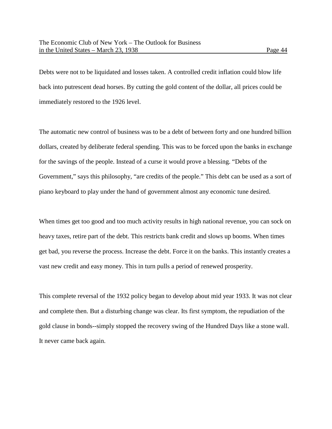Debts were not to be liquidated and losses taken. A controlled credit inflation could blow life back into putrescent dead horses. By cutting the gold content of the dollar, all prices could be immediately restored to the 1926 level.

The automatic new control of business was to be a debt of between forty and one hundred billion dollars, created by deliberate federal spending. This was to be forced upon the banks in exchange for the savings of the people. Instead of a curse it would prove a blessing. "Debts of the Government," says this philosophy, "are credits of the people." This debt can be used as a sort of piano keyboard to play under the hand of government almost any economic tune desired.

When times get too good and too much activity results in high national revenue, you can sock on heavy taxes, retire part of the debt. This restricts bank credit and slows up booms. When times get bad, you reverse the process. Increase the debt. Force it on the banks. This instantly creates a vast new credit and easy money. This in turn pulls a period of renewed prosperity.

This complete reversal of the 1932 policy began to develop about mid year 1933. It was not clear and complete then. But a disturbing change was clear. Its first symptom, the repudiation of the gold clause in bonds--simply stopped the recovery swing of the Hundred Days like a stone wall. It never came back again.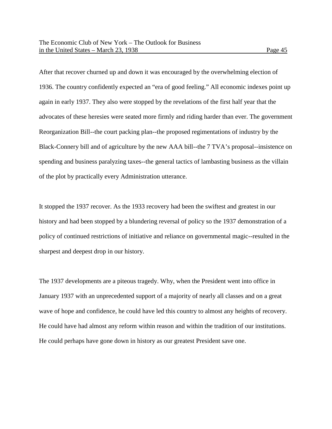After that recover churned up and down it was encouraged by the overwhelming election of 1936. The country confidently expected an "era of good feeling." All economic indexes point up again in early 1937. They also were stopped by the revelations of the first half year that the advocates of these heresies were seated more firmly and riding harder than ever. The government Reorganization Bill--the court packing plan--the proposed regimentations of industry by the Black-Connery bill and of agriculture by the new AAA bill--the 7 TVA's proposal--insistence on spending and business paralyzing taxes--the general tactics of lambasting business as the villain of the plot by practically every Administration utterance.

It stopped the 1937 recover. As the 1933 recovery had been the swiftest and greatest in our history and had been stopped by a blundering reversal of policy so the 1937 demonstration of a policy of continued restrictions of initiative and reliance on governmental magic--resulted in the sharpest and deepest drop in our history.

The 1937 developments are a piteous tragedy. Why, when the President went into office in January 1937 with an unprecedented support of a majority of nearly all classes and on a great wave of hope and confidence, he could have led this country to almost any heights of recovery. He could have had almost any reform within reason and within the tradition of our institutions. He could perhaps have gone down in history as our greatest President save one.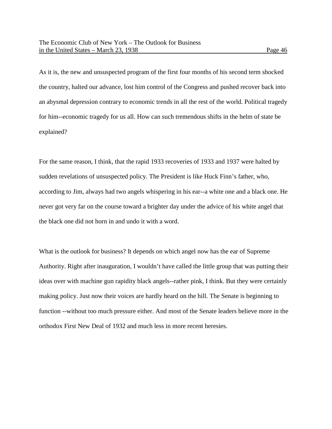As it is, the new and unsuspected program of the first four months of his second term shocked the country, halted our advance, lost him control of the Congress and pushed recover back into an abysmal depression contrary to economic trends in all the rest of the world. Political tragedy for him--economic tragedy for us all. How can such tremendous shifts in the helm of state be explained?

For the same reason, I think, that the rapid 1933 recoveries of 1933 and 1937 were halted by sudden revelations of unsuspected policy. The President is like Huck Finn's father, who, according to Jim, always had two angels whispering in his ear--a white one and a black one. He never got very far on the course toward a brighter day under the advice of his white angel that the black one did not horn in and undo it with a word.

What is the outlook for business? It depends on which angel now has the ear of Supreme Authority. Right after inauguration, I wouldn't have called the little group that was putting their ideas over with machine gun rapidity black angels--rather pink, I think. But they were certainly making policy. Just now their voices are hardly heard on the hill. The Senate is beginning to function --without too much pressure either. And most of the Senate leaders believe more in the orthodox First New Deal of 1932 and much less in more recent heresies.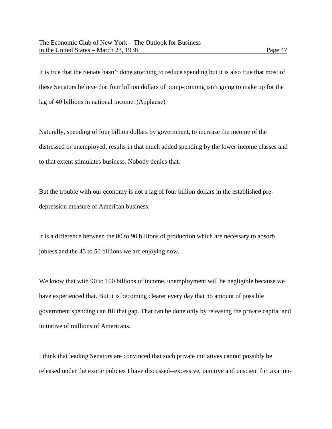It is true that the Senate hasn't done anything to reduce spending but it is also true that most of these Senators believe that four billion dollars of pump-priming isn't going to make up for the lag of 40 billions in national income. (Applause)

Naturally, spending of four billion dollars by government, to increase the income of the distressed or unemployed, results in that much added spending by the lower income classes and to that extent stimulates business. Nobody denies that.

But the trouble with our economy is not a lag of four billion dollars in the established predepression measure of American business.

It is a difference between the 80 to 90 billions of production which are necessary to absorb jobless and the 45 to 50 billions we are enjoying now.

We know that with 90 to 100 billions of income, unemployment will be negligible because we have experienced that. But it is becoming clearer every day that no amount of possible government spending can fill that gap. That can be done only by releasing the private capital and initiative of millions of Americans.

I think that leading Senators are convinced that such private initiatives cannot possibly be released under the exotic policies I have discussed--excessive, punitive and unscientific taxation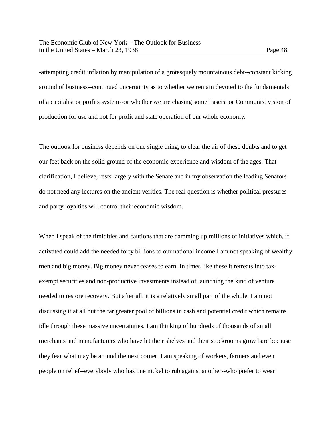-attempting credit inflation by manipulation of a grotesquely mountainous debt--constant kicking around of business--continued uncertainty as to whether we remain devoted to the fundamentals of a capitalist or profits system--or whether we are chasing some Fascist or Communist vision of production for use and not for profit and state operation of our whole economy.

The outlook for business depends on one single thing, to clear the air of these doubts and to get our feet back on the solid ground of the economic experience and wisdom of the ages. That clarification, I believe, rests largely with the Senate and in my observation the leading Senators do not need any lectures on the ancient verities. The real question is whether political pressures and party loyalties will control their economic wisdom.

When I speak of the timidities and cautions that are damming up millions of initiatives which, if activated could add the needed forty billions to our national income I am not speaking of wealthy men and big money. Big money never ceases to earn. In times like these it retreats into taxexempt securities and non-productive investments instead of launching the kind of venture needed to restore recovery. But after all, it is a relatively small part of the whole. I am not discussing it at all but the far greater pool of billions in cash and potential credit which remains idle through these massive uncertainties. I am thinking of hundreds of thousands of small merchants and manufacturers who have let their shelves and their stockrooms grow bare because they fear what may be around the next corner. I am speaking of workers, farmers and even people on relief--everybody who has one nickel to rub against another--who prefer to wear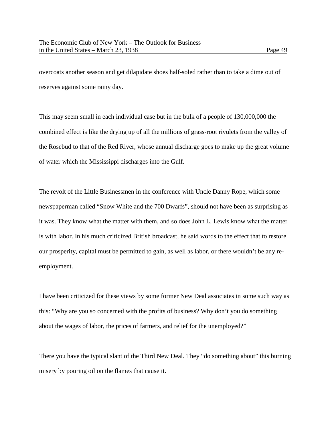overcoats another season and get dilapidate shoes half-soled rather than to take a dime out of reserves against some rainy day.

This may seem small in each individual case but in the bulk of a people of 130,000,000 the combined effect is like the drying up of all the millions of grass-root rivulets from the valley of the Rosebud to that of the Red River, whose annual discharge goes to make up the great volume of water which the Mississippi discharges into the Gulf.

The revolt of the Little Businessmen in the conference with Uncle Danny Rope, which some newspaperman called "Snow White and the 700 Dwarfs", should not have been as surprising as it was. They know what the matter with them, and so does John L. Lewis know what the matter is with labor. In his much criticized British broadcast, he said words to the effect that to restore our prosperity, capital must be permitted to gain, as well as labor, or there wouldn't be any reemployment.

I have been criticized for these views by some former New Deal associates in some such way as this: "Why are you so concerned with the profits of business? Why don't you do something about the wages of labor, the prices of farmers, and relief for the unemployed?"

There you have the typical slant of the Third New Deal. They "do something about" this burning misery by pouring oil on the flames that cause it.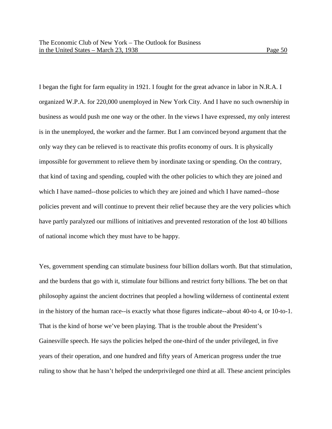I began the fight for farm equality in 1921. I fought for the great advance in labor in N.R.A. I organized W.P.A. for 220,000 unemployed in New York City. And I have no such ownership in business as would push me one way or the other. In the views I have expressed, my only interest is in the unemployed, the worker and the farmer. But I am convinced beyond argument that the only way they can be relieved is to reactivate this profits economy of ours. It is physically impossible for government to relieve them by inordinate taxing or spending. On the contrary, that kind of taxing and spending, coupled with the other policies to which they are joined and which I have named--those policies to which they are joined and which I have named--those policies prevent and will continue to prevent their relief because they are the very policies which have partly paralyzed our millions of initiatives and prevented restoration of the lost 40 billions of national income which they must have to be happy.

Yes, government spending can stimulate business four billion dollars worth. But that stimulation, and the burdens that go with it, stimulate four billions and restrict forty billions. The bet on that philosophy against the ancient doctrines that peopled a howling wilderness of continental extent in the history of the human race--is exactly what those figures indicate--about 40-to 4, or 10-to-1. That is the kind of horse we've been playing. That is the trouble about the President's Gainesville speech. He says the policies helped the one-third of the under privileged, in five years of their operation, and one hundred and fifty years of American progress under the true ruling to show that he hasn't helped the underprivileged one third at all. These ancient principles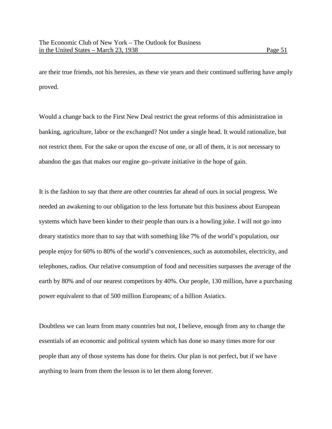are their true friends, not his heresies, as these vie years and their continued suffering have amply proved.

Would a change back to the First New Deal restrict the great reforms of this administration in banking, agriculture, labor or the exchanged? Not under a single head. It would rationalize, but not restrict them. For the sake or upon the excuse of one, or all of them, it is not necessary to abandon the gas that makes our engine go--private initiative in the hope of gain.

It is the fashion to say that there are other countries far ahead of ours in social progress. We needed an awakening to our obligation to the less fortunate but this business about European systems which have been kinder to their people than ours is a howling joke. I will not go into dreary statistics more than to say that with something like 7% of the world's population, our people enjoy for 60% to 80% of the world's conveniences, such as automobiles, electricity, and telephones, radios. Our relative consumption of food and necessities surpasses the average of the earth by 80% and of our nearest competitors by 40%. Our people, 130 million, have a purchasing power equivalent to that of 500 million Europeans; of a billion Asiatics.

Doubtless we can learn from many countries but not, I believe, enough from any to change the essentials of an economic and political system which has done so many times more for our people than any of those systems has done for theirs. Our plan is not perfect, but if we have anything to learn from them the lesson is to let them along forever.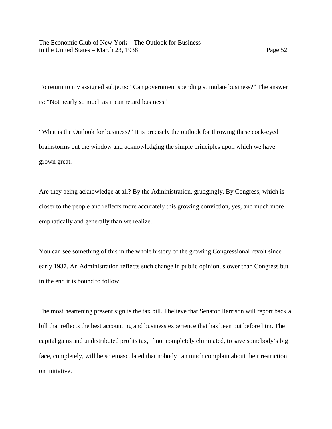To return to my assigned subjects: "Can government spending stimulate business?" The answer is: "Not nearly so much as it can retard business."

"What is the Outlook for business?" It is precisely the outlook for throwing these cock-eyed brainstorms out the window and acknowledging the simple principles upon which we have grown great.

Are they being acknowledge at all? By the Administration, grudgingly. By Congress, which is closer to the people and reflects more accurately this growing conviction, yes, and much more emphatically and generally than we realize.

You can see something of this in the whole history of the growing Congressional revolt since early 1937. An Administration reflects such change in public opinion, slower than Congress but in the end it is bound to follow.

The most heartening present sign is the tax bill. I believe that Senator Harrison will report back a bill that reflects the best accounting and business experience that has been put before him. The capital gains and undistributed profits tax, if not completely eliminated, to save somebody's big face, completely, will be so emasculated that nobody can much complain about their restriction on initiative.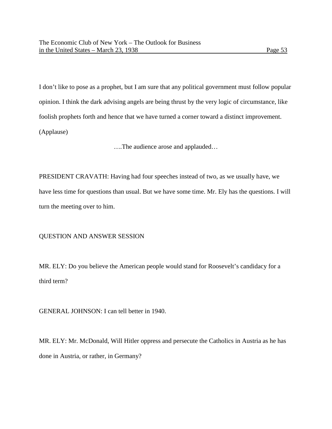I don't like to pose as a prophet, but I am sure that any political government must follow popular opinion. I think the dark advising angels are being thrust by the very logic of circumstance, like foolish prophets forth and hence that we have turned a corner toward a distinct improvement. (Applause)

….The audience arose and applauded…

PRESIDENT CRAVATH: Having had four speeches instead of two, as we usually have, we have less time for questions than usual. But we have some time. Mr. Ely has the questions. I will turn the meeting over to him.

## QUESTION AND ANSWER SESSION

MR. ELY: Do you believe the American people would stand for Roosevelt's candidacy for a third term?

GENERAL JOHNSON: I can tell better in 1940.

MR. ELY: Mr. McDonald, Will Hitler oppress and persecute the Catholics in Austria as he has done in Austria, or rather, in Germany?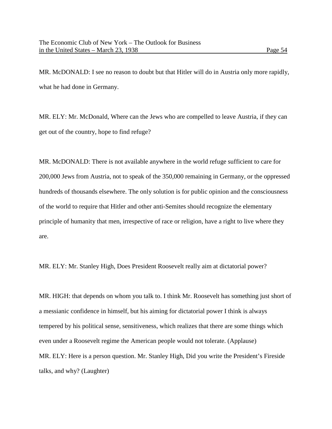MR. McDONALD: I see no reason to doubt but that Hitler will do in Austria only more rapidly, what he had done in Germany.

MR. ELY: Mr. McDonald, Where can the Jews who are compelled to leave Austria, if they can get out of the country, hope to find refuge?

MR. McDONALD: There is not available anywhere in the world refuge sufficient to care for 200,000 Jews from Austria, not to speak of the 350,000 remaining in Germany, or the oppressed hundreds of thousands elsewhere. The only solution is for public opinion and the consciousness of the world to require that Hitler and other anti-Semites should recognize the elementary principle of humanity that men, irrespective of race or religion, have a right to live where they are.

MR. ELY: Mr. Stanley High, Does President Roosevelt really aim at dictatorial power?

MR. HIGH: that depends on whom you talk to. I think Mr. Roosevelt has something just short of a messianic confidence in himself, but his aiming for dictatorial power I think is always tempered by his political sense, sensitiveness, which realizes that there are some things which even under a Roosevelt regime the American people would not tolerate. (Applause) MR. ELY: Here is a person question. Mr. Stanley High, Did you write the President's Fireside talks, and why? (Laughter)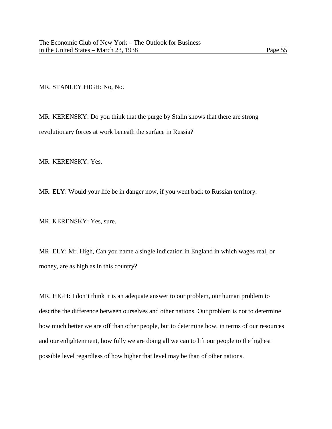MR. STANLEY HIGH: No, No.

MR. KERENSKY: Do you think that the purge by Stalin shows that there are strong revolutionary forces at work beneath the surface in Russia?

MR. KERENSKY: Yes.

MR. ELY: Would your life be in danger now, if you went back to Russian territory:

MR. KERENSKY: Yes, sure.

MR. ELY: Mr. High, Can you name a single indication in England in which wages real, or money, are as high as in this country?

MR. HIGH: I don't think it is an adequate answer to our problem, our human problem to describe the difference between ourselves and other nations. Our problem is not to determine how much better we are off than other people, but to determine how, in terms of our resources and our enlightenment, how fully we are doing all we can to lift our people to the highest possible level regardless of how higher that level may be than of other nations.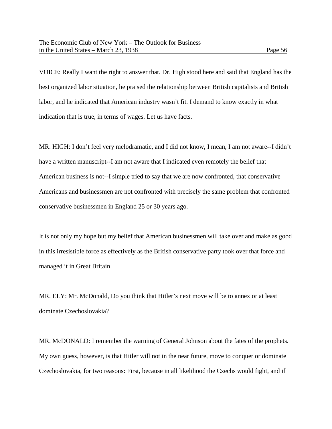VOICE: Really I want the right to answer that. Dr. High stood here and said that England has the best organized labor situation, he praised the relationship between British capitalists and British labor, and he indicated that American industry wasn't fit. I demand to know exactly in what indication that is true, in terms of wages. Let us have facts.

MR. HIGH: I don't feel very melodramatic, and I did not know, I mean, I am not aware--I didn't have a written manuscript--I am not aware that I indicated even remotely the belief that American business is not--I simple tried to say that we are now confronted, that conservative Americans and businessmen are not confronted with precisely the same problem that confronted conservative businessmen in England 25 or 30 years ago.

It is not only my hope but my belief that American businessmen will take over and make as good in this irresistible force as effectively as the British conservative party took over that force and managed it in Great Britain.

MR. ELY: Mr. McDonald, Do you think that Hitler's next move will be to annex or at least dominate Czechoslovakia?

MR. McDONALD: I remember the warning of General Johnson about the fates of the prophets. My own guess, however, is that Hitler will not in the near future, move to conquer or dominate Czechoslovakia, for two reasons: First, because in all likelihood the Czechs would fight, and if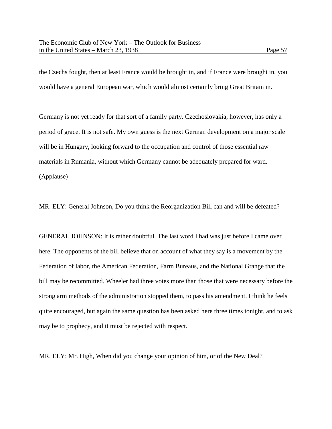the Czechs fought, then at least France would be brought in, and if France were brought in, you would have a general European war, which would almost certainly bring Great Britain in.

Germany is not yet ready for that sort of a family party. Czechoslovakia, however, has only a period of grace. It is not safe. My own guess is the next German development on a major scale will be in Hungary, looking forward to the occupation and control of those essential raw materials in Rumania, without which Germany cannot be adequately prepared for ward. (Applause)

MR. ELY: General Johnson, Do you think the Reorganization Bill can and will be defeated?

GENERAL JOHNSON: It is rather doubtful. The last word I had was just before I came over here. The opponents of the bill believe that on account of what they say is a movement by the Federation of labor, the American Federation, Farm Bureaus, and the National Grange that the bill may be recommitted. Wheeler had three votes more than those that were necessary before the strong arm methods of the administration stopped them, to pass his amendment. I think he feels quite encouraged, but again the same question has been asked here three times tonight, and to ask may be to prophecy, and it must be rejected with respect.

MR. ELY: Mr. High, When did you change your opinion of him, or of the New Deal?